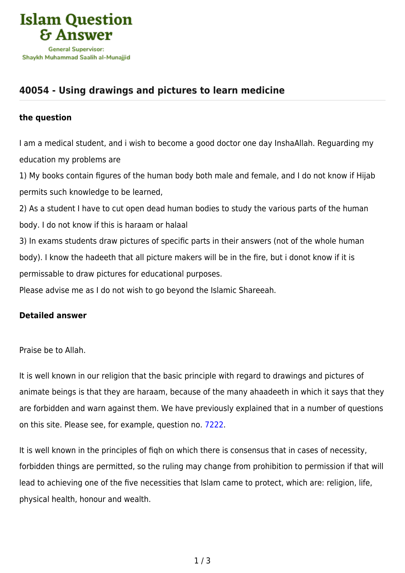

## **[40054 - Using drawings and pictures to learn medicine](https://islamqa.com/en/answers/40054/using-drawings-and-pictures-to-learn-medicine)**

## **the question**

I am a medical student, and i wish to become a good doctor one day InshaAllah. Reguarding my education my problems are

1) My books contain figures of the human body both male and female, and I do not know if Hijab permits such knowledge to be learned,

2) As a student I have to cut open dead human bodies to study the various parts of the human body. I do not know if this is haraam or halaal

3) In exams students draw pictures of specific parts in their answers (not of the whole human body). I know the hadeeth that all picture makers will be in the fire, but i donot know if it is permissable to draw pictures for educational purposes.

Please advise me as I do not wish to go beyond the Islamic Shareeah.

## **Detailed answer**

Praise be to Allah.

It is well known in our religion that the basic principle with regard to drawings and pictures of animate beings is that they are haraam, because of the many ahaadeeth in which it says that they are forbidden and warn against them. We have previously explained that in a number of questions on this site. Please see, for example, question no. [7222.](https://islamqa.com/en/answers/7222)

It is well known in the principles of fiqh on which there is consensus that in cases of necessity, forbidden things are permitted, so the ruling may change from prohibition to permission if that will lead to achieving one of the five necessities that Islam came to protect, which are: religion, life, physical health, honour and wealth.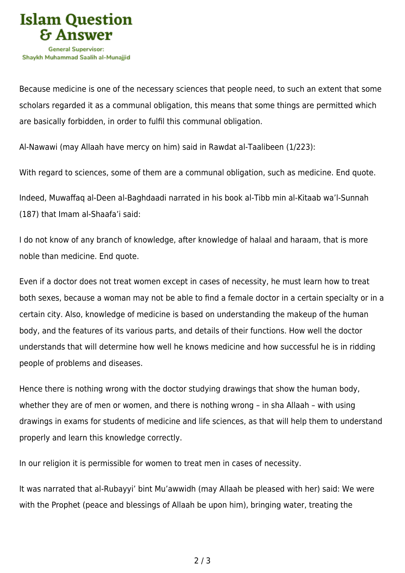

Because medicine is one of the necessary sciences that people need, to such an extent that some scholars regarded it as a communal obligation, this means that some things are permitted which are basically forbidden, in order to fulfil this communal obligation.

Al-Nawawi (may Allaah have mercy on him) said in Rawdat al-Taalibeen (1/223):

With regard to sciences, some of them are a communal obligation, such as medicine. End quote.

Indeed, Muwaffaq al-Deen al-Baghdaadi narrated in his book al-Tibb min al-Kitaab wa'l-Sunnah (187) that Imam al-Shaafa'i said:

I do not know of any branch of knowledge, after knowledge of halaal and haraam, that is more noble than medicine. End quote.

Even if a doctor does not treat women except in cases of necessity, he must learn how to treat both sexes, because a woman may not be able to find a female doctor in a certain specialty or in a certain city. Also, knowledge of medicine is based on understanding the makeup of the human body, and the features of its various parts, and details of their functions. How well the doctor understands that will determine how well he knows medicine and how successful he is in ridding people of problems and diseases.

Hence there is nothing wrong with the doctor studying drawings that show the human body, whether they are of men or women, and there is nothing wrong – in sha Allaah – with using drawings in exams for students of medicine and life sciences, as that will help them to understand properly and learn this knowledge correctly.

In our religion it is permissible for women to treat men in cases of necessity.

It was narrated that al-Rubayyi' bint Mu'awwidh (may Allaah be pleased with her) said: We were with the Prophet (peace and blessings of Allaah be upon him), bringing water, treating the